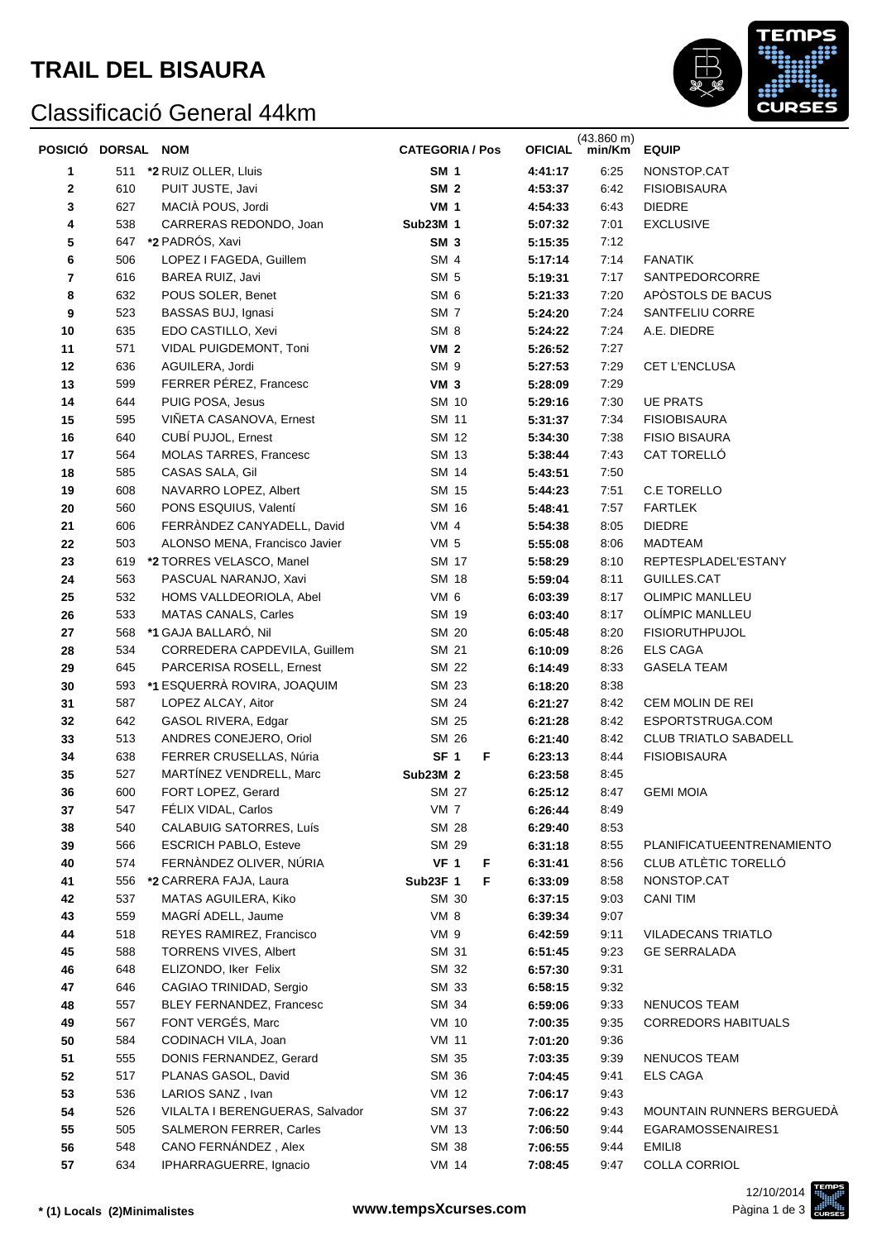# **TRAIL DEL BISAURA**

## Classificació General 44km



| POSICIÓ DORSAL NOM |     |                                 | <b>CATEGORIA / Pos</b> | <b>OFICIAL</b> | $(43.860 \text{ m})$<br>min/Km | <b>EQUIP</b>                 |
|--------------------|-----|---------------------------------|------------------------|----------------|--------------------------------|------------------------------|
| 1                  |     | 511 *2 RUIZ OLLER, Lluis        | <b>SM 1</b>            | 4:41:17        | 6:25                           | NONSTOP.CAT                  |
| 2                  | 610 | PUIT JUSTE, Javi                | SM <sub>2</sub>        | 4:53:37        | 6:42                           | <b>FISIOBISAURA</b>          |
| 3                  | 627 | MACIÀ POUS, Jordi               | <b>VM 1</b>            | 4:54:33        | 6:43                           | <b>DIEDRE</b>                |
| 4                  | 538 | CARRERAS REDONDO, Joan          | Sub23M 1               | 5:07:32        | 7:01                           | <b>EXCLUSIVE</b>             |
| 5                  | 647 | *2 PADRÓS, Xavi                 | SM <sub>3</sub>        | 5:15:35        | 7:12                           |                              |
| 6                  | 506 | LOPEZ I FAGEDA, Guillem         | SM <sub>4</sub>        | 5:17:14        | 7:14                           | <b>FANATIK</b>               |
| 7                  | 616 | BAREA RUIZ, Javi                | SM <sub>5</sub>        | 5:19:31        | 7:17                           | SANTPEDORCORRE               |
| 8                  | 632 | POUS SOLER, Benet               | SM <sub>6</sub>        | 5:21:33        | 7:20                           | APÒSTOLS DE BACUS            |
| 9                  | 523 | BASSAS BUJ, Ignasi              | SM <sub>7</sub>        | 5:24:20        | 7:24                           | SANTFELIU CORRE              |
| 10                 | 635 | EDO CASTILLO, Xevi              | SM <sub>8</sub>        | 5:24:22        | 7:24                           | A.E. DIEDRE                  |
| 11                 | 571 | VIDAL PUIGDEMONT, Toni          | <b>VM 2</b>            | 5:26:52        | 7:27                           |                              |
| 12                 | 636 | AGUILERA, Jordi                 | SM <sub>9</sub>        | 5:27:53        | 7:29                           | CET L'ENCLUSA                |
| 13                 | 599 | FERRER PÉREZ, Francesc          | VM <sub>3</sub>        | 5:28:09        | 7:29                           |                              |
| 14                 | 644 | PUIG POSA, Jesus                | SM 10                  | 5:29:16        | 7:30                           | <b>UE PRATS</b>              |
| 15                 | 595 | VIÑETA CASANOVA, Ernest         | SM 11                  | 5:31:37        | 7:34                           | <b>FISIOBISAURA</b>          |
| 16                 | 640 | CUBÍ PUJOL, Ernest              | SM 12                  | 5:34:30        | 7:38                           | <b>FISIO BISAURA</b>         |
| 17                 | 564 | <b>MOLAS TARRES, Francesc</b>   | SM 13                  | 5:38:44        | 7:43                           | CAT TORELLÓ                  |
| 18                 | 585 | CASAS SALA, Gil                 | SM 14                  | 5:43:51        | 7:50                           |                              |
| 19                 | 608 | NAVARRO LOPEZ, Albert           | SM 15                  | 5:44:23        | 7:51                           | C.E TORELLO                  |
| 20                 | 560 | PONS ESQUIUS, Valentí           | SM 16                  | 5:48:41        | 7:57                           | <b>FARTLEK</b>               |
| 21                 | 606 | FERRÀNDEZ CANYADELL, David      | VM <sub>4</sub>        | 5:54:38        | 8:05                           | <b>DIEDRE</b>                |
| 22                 | 503 | ALONSO MENA, Francisco Javier   | VM 5                   | 5:55:08        | 8:06                           | MADTEAM                      |
| 23                 | 619 | *2 TORRES VELASCO, Manel        | SM 17                  | 5:58:29        | 8:10                           | REPTESPLADEL'ESTANY          |
| 24                 | 563 | PASCUAL NARANJO, Xavi           | SM 18                  | 5:59:04        | 8:11                           | GUILLES.CAT                  |
| 25                 | 532 | HOMS VALLDEORIOLA, Abel         | VM 6                   | 6:03:39        | 8:17                           | <b>OLIMPIC MANLLEU</b>       |
| 26                 | 533 | <b>MATAS CANALS, Carles</b>     | SM 19                  | 6:03:40        | 8:17                           | OLÍMPIC MANLLEU              |
| 27                 | 568 | *1 GAJA BALLARÓ, Nil            | SM 20                  | 6:05:48        | 8:20                           | <b>FISIORUTHPUJOL</b>        |
| 28                 | 534 | CORREDERA CAPDEVILA, Guillem    | SM 21                  | 6:10:09        | 8:26                           | <b>ELS CAGA</b>              |
| 29                 | 645 | PARCERISA ROSELL, Ernest        | SM 22                  | 6:14:49        | 8:33                           | <b>GASELA TEAM</b>           |
| 30                 | 593 | *1 ESQUERRÀ ROVIRA, JOAQUIM     | SM 23                  | 6:18:20        | 8:38                           |                              |
| 31                 | 587 | LOPEZ ALCAY, Aitor              | SM 24                  | 6:21:27        | 8:42                           | CEM MOLIN DE REI             |
| 32                 | 642 | GASOL RIVERA, Edgar             | SM 25                  | 6:21:28        | 8:42                           | ESPORTSTRUGA.COM             |
| 33                 | 513 | ANDRES CONEJERO, Oriol          | SM 26                  | 6:21:40        | 8:42                           | <b>CLUB TRIATLO SABADELL</b> |
| 34                 | 638 | FERRER CRUSELLAS, Núria         | SF <sub>1</sub><br>F   | 6:23:13        | 8:44                           | <b>FISIOBISAURA</b>          |
| 35                 | 527 | MARTÍNEZ VENDRELL, Marc         | <b>Sub23M 2</b>        | 6:23:58        | 8:45                           |                              |
| 36                 | 600 | FORT LOPEZ, Gerard              | SM 27                  | 6:25:12        | 8:47                           | <b>GEMI MOIA</b>             |
| 37                 | 547 | FÉLIX VIDAL, Carlos             | VM <sub>7</sub>        | 6:26:44        | 8:49                           |                              |
| 38                 | 540 | CALABUIG SATORRES, Luís         | <b>SM 28</b>           | 6:29:40        | 8:53                           |                              |
| 39                 | 566 | <b>ESCRICH PABLO, Esteve</b>    | SM 29                  | 6:31:18        | 8:55                           | PLANIFICATUEENTRENAMIENTO    |
| 40                 | 574 | FERNÀNDEZ OLIVER, NÚRIA         | <b>VF 1</b><br>F       | 6:31:41        | 8:56                           | CLUB ATLÈTIC TORELLÓ         |
| 41                 | 556 | *2 CARRERA FAJA, Laura          | <b>Sub23F 1</b><br>F   | 6:33:09        | 8:58                           | NONSTOP.CAT                  |
| 42                 | 537 | MATAS AGUILERA, Kiko            | SM 30                  | 6:37:15        | 9:03                           | <b>CANI TIM</b>              |
| 43                 | 559 | MAGRÍ ADELL, Jaume              | VM 8                   | 6:39:34        | 9:07                           |                              |
| 44                 | 518 | REYES RAMIREZ, Francisco        | VM 9                   | 6:42:59        | 9:11                           | <b>VILADECANS TRIATLO</b>    |
| 45                 | 588 | TORRENS VIVES, Albert           | SM 31                  | 6:51:45        | 9:23                           | <b>GE SERRALADA</b>          |
| 46                 | 648 | ELIZONDO, Iker Felix            | SM 32                  | 6:57:30        | 9:31                           |                              |
| 47                 | 646 | CAGIAO TRINIDAD, Sergio         | SM 33                  | 6:58:15        | 9:32                           |                              |
| 48                 | 557 | BLEY FERNANDEZ, Francesc        | SM 34                  | 6:59:06        | 9:33                           | NENUCOS TEAM                 |
| 49                 | 567 | FONT VERGÉS, Marc               | <b>VM 10</b>           | 7:00:35        | 9:35                           | <b>CORREDORS HABITUALS</b>   |
| 50                 | 584 | CODINACH VILA, Joan             | <b>VM 11</b>           | 7:01:20        | 9:36                           |                              |
| 51                 | 555 | DONIS FERNANDEZ, Gerard         | SM 35                  | 7:03:35        | 9:39                           | NENUCOS TEAM                 |
| 52                 | 517 | PLANAS GASOL, David             | SM 36                  | 7:04:45        | 9:41                           | <b>ELS CAGA</b>              |
| 53                 | 536 | LARIOS SANZ, Ivan               | VM 12                  | 7:06:17        | 9:43                           |                              |
| 54                 | 526 | VILALTA I BERENGUERAS, Salvador | SM 37                  | 7:06:22        | 9:43                           | MOUNTAIN RUNNERS BERGUEDA    |
| 55                 | 505 | <b>SALMERON FERRER, Carles</b>  | <b>VM 13</b>           | 7:06:50        | 9:44                           | EGARAMOSSENAIRES1            |
| 56                 | 548 | CANO FERNÁNDEZ, Alex            | SM 38                  | 7:06:55        | 9:44                           | EMILI8                       |
| 57                 | 634 | IPHARRAGUERRE, Ignacio          | VM 14                  | 7:08:45        | 9:47                           | COLLA CORRIOL                |

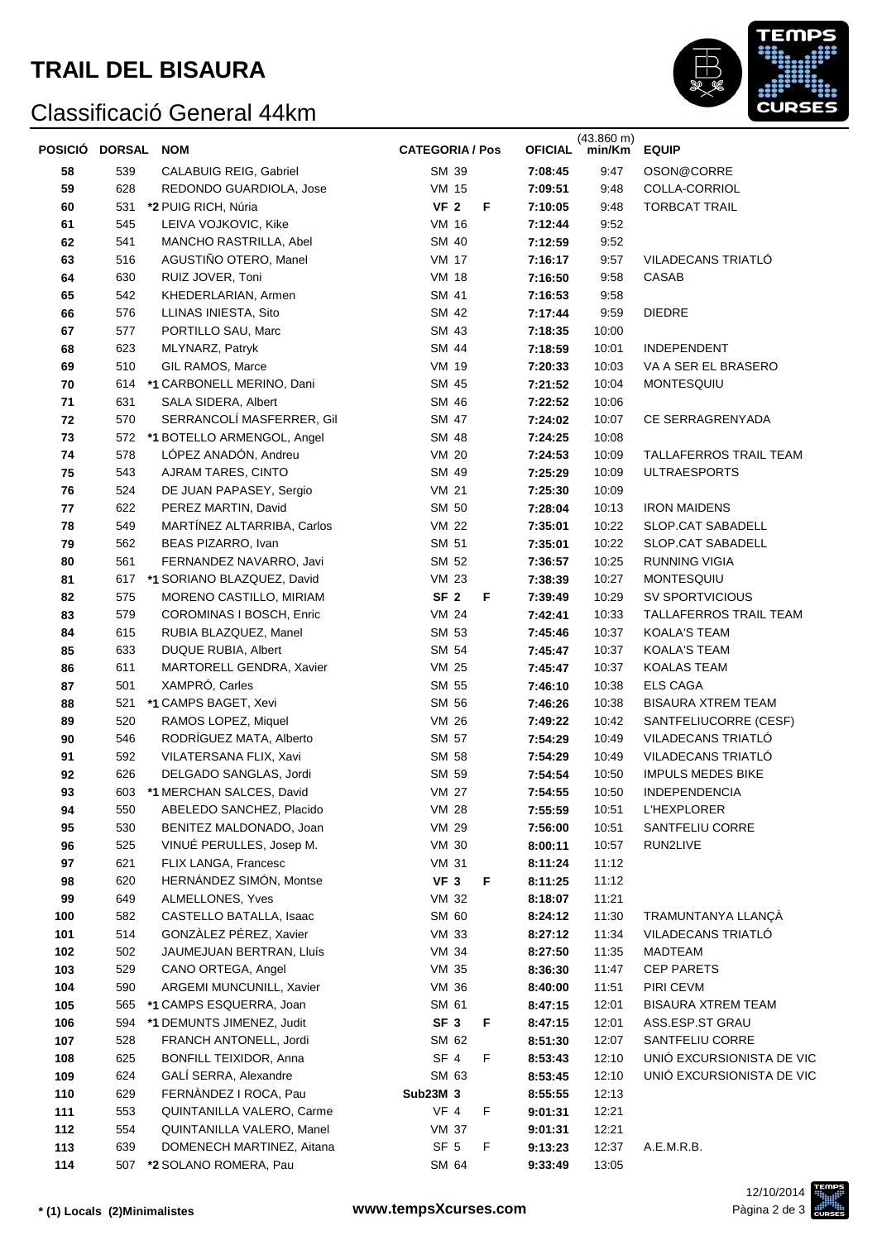# **TRAIL DEL BISAURA**

## Classificació General 44km



| POSICIÓ DORSAL |            | <b>NOM</b>                                        | <b>CATEGORIA / Pos</b>          |   | <b>OFICIAL</b>     | $(43.860 \text{ m})$<br>min/Km | <b>EQUIP</b>                              |
|----------------|------------|---------------------------------------------------|---------------------------------|---|--------------------|--------------------------------|-------------------------------------------|
| 58             | 539        | <b>CALABUIG REIG, Gabriel</b>                     | SM 39                           |   | 7:08:45            | 9:47                           | OSON@CORRE                                |
| 59             | 628        | REDONDO GUARDIOLA, Jose                           | <b>VM 15</b>                    |   | 7:09:51            | 9:48                           | COLLA-CORRIOL                             |
| 60             | 531        | *2 PUIG RICH, Núria                               | VF <sub>2</sub>                 | F | 7:10:05            | 9:48                           | <b>TORBCAT TRAIL</b>                      |
| 61             | 545        | LEIVA VOJKOVIC, Kike                              | <b>VM 16</b>                    |   | 7:12:44            | 9:52                           |                                           |
| 62             | 541        | MANCHO RASTRILLA, Abel                            | SM 40                           |   | 7:12:59            | 9:52                           |                                           |
| 63             | 516        | AGUSTIÑO OTERO, Manel                             | <b>VM 17</b>                    |   | 7:16:17            | 9:57                           | VILADECANS TRIATLÓ                        |
| 64             | 630        | RUIZ JOVER, Toni                                  | <b>VM 18</b>                    |   | 7:16:50            | 9:58                           | CASAB                                     |
| 65             | 542        | KHEDERLARIAN, Armen                               | SM 41                           |   | 7:16:53            | 9:58                           |                                           |
| 66             | 576        | LLINAS INIESTA, Sito                              | SM 42                           |   | 7:17:44            | 9:59                           | <b>DIEDRE</b>                             |
| 67             | 577        | PORTILLO SAU, Marc                                | SM 43                           |   | 7:18:35            | 10:00                          |                                           |
| 68             | 623        | MLYNARZ, Patryk                                   | SM 44                           |   | 7:18:59            | 10:01                          | INDEPENDENT                               |
| 69             | 510        | GIL RAMOS, Marce                                  | VM 19                           |   | 7:20:33            | 10:03                          | VA A SER EL BRASERO                       |
| 70             |            | 614 *1 CARBONELL MERINO, Dani                     | SM 45                           |   | 7:21:52            | 10:04                          | MONTESQUIU                                |
| 71             | 631        | SALA SIDERA, Albert                               | SM 46                           |   | 7:22:52            | 10:06                          |                                           |
| 72             | 570        | SERRANCOLÍ MASFERRER, Gil                         | SM 47                           |   | 7:24:02            | 10:07                          | CE SERRAGRENYADA                          |
| 73             |            | 572 *1 BOTELLO ARMENGOL, Angel                    | <b>SM 48</b>                    |   | 7:24:25            | 10:08                          |                                           |
| 74             | 578        | LÓPEZ ANADÓN, Andreu                              | <b>VM 20</b>                    |   | 7:24:53            | 10:09                          | TALLAFERROS TRAIL TEAM                    |
| 75             | 543        | AJRAM TARES, CINTO                                | SM 49                           |   | 7:25:29            | 10:09                          | <b>ULTRAESPORTS</b>                       |
| 76             | 524        | DE JUAN PAPASEY, Sergio                           | <b>VM 21</b>                    |   | 7:25:30            | 10:09                          |                                           |
| 77             | 622        | PEREZ MARTIN, David                               | SM 50                           |   | 7:28:04            | 10:13                          | <b>IRON MAIDENS</b>                       |
| 78             | 549        | MARTÍNEZ ALTARRIBA, Carlos                        | <b>VM 22</b>                    |   | 7:35:01            | 10:22                          | SLOP.CAT SABADELL                         |
| 79             | 562        | BEAS PIZARRO, Ivan                                | SM 51                           |   | 7:35:01            | 10:22                          | SLOP.CAT SABADELL                         |
| 80             | 561        | FERNANDEZ NAVARRO, Javi                           | SM 52                           |   | 7:36:57            | 10:25                          | RUNNING VIGIA                             |
| 81             |            | 617 *1 SORIANO BLAZQUEZ, David                    | <b>VM 23</b>                    |   | 7:38:39            | 10:27                          | MONTESQUIU                                |
| 82             | 575<br>579 | MORENO CASTILLO, MIRIAM                           | SF <sub>2</sub><br><b>VM 24</b> | F | 7:39:49<br>7:42:41 | 10:29<br>10:33                 | SV SPORTVICIOUS<br>TALLAFERROS TRAIL TEAM |
| 83<br>84       | 615        | COROMINAS I BOSCH, Enric<br>RUBIA BLAZQUEZ, Manel | SM 53                           |   | 7:45:46            | 10:37                          | <b>KOALA'S TEAM</b>                       |
| 85             | 633        | DUQUE RUBIA, Albert                               | SM 54                           |   | 7:45:47            | 10:37                          | <b>KOALA'S TEAM</b>                       |
| 86             | 611        | MARTORELL GENDRA, Xavier                          | <b>VM 25</b>                    |   | 7:45:47            | 10:37                          | <b>KOALAS TEAM</b>                        |
| 87             | 501        | XAMPRÓ, Carles                                    | SM 55                           |   | 7:46:10            | 10:38                          | <b>ELS CAGA</b>                           |
| 88             | 521        | *1 CAMPS BAGET, Xevi                              | SM 56                           |   | 7:46:26            | 10:38                          | <b>BISAURA XTREM TEAM</b>                 |
| 89             | 520        | RAMOS LOPEZ, Miquel                               | VM 26                           |   | 7:49:22            | 10:42                          | SANTFELIUCORRE (CESF)                     |
| 90             | 546        | RODRÍGUEZ MATA, Alberto                           | SM 57                           |   | 7:54:29            | 10:49                          | VILADECANS TRIATLÓ                        |
| 91             | 592        | VILATERSANA FLIX, Xavi                            | SM 58                           |   | 7:54:29            | 10:49                          | VILADECANS TRIATLO                        |
| 92             | 626        | DELGADO SANGLAS, Jordi                            | SM 59                           |   | 7:54:54            | 10:50                          | <b>IMPULS MEDES BIKE</b>                  |
| 93             | 603        | *1 MERCHAN SALCES, David                          | <b>VM 27</b>                    |   | 7:54:55            | 10:50                          | INDEPENDENCIA                             |
| 94             | 550        | ABELEDO SANCHEZ, Placido                          | <b>VM 28</b>                    |   | 7:55:59            | 10:51                          | <b>L'HEXPLORER</b>                        |
| 95             | 530        | BENITEZ MALDONADO, Joan                           | VM 29                           |   | 7:56:00            | 10:51                          | SANTFELIU CORRE                           |
| 96             | 525        | VINUÉ PERULLES, Josep M.                          | <b>VM 30</b>                    |   | 8:00:11            | 10:57                          | RUN2LIVE                                  |
| 97             | 621        | FLIX LANGA, Francesc                              | <b>VM 31</b>                    |   | 8:11:24            | 11:12                          |                                           |
| 98             | 620        | HERNÁNDEZ SIMÓN, Montse                           | VF <sub>3</sub>                 | F | 8:11:25            | 11:12                          |                                           |
| 99             | 649        | ALMELLONES, Yves                                  | VM 32                           |   | 8:18:07            | 11:21                          |                                           |
| 100            | 582        | CASTELLO BATALLA, Isaac                           | SM 60                           |   | 8:24:12            | 11:30                          | TRAMUNTANYA LLANÇA                        |
| 101            | 514        | GONZÀLEZ PÉREZ, Xavier                            | <b>VM 33</b>                    |   | 8:27:12            | 11:34                          | VILADECANS TRIATLO                        |
| 102            | 502        | JAUMEJUAN BERTRAN, Lluís                          | VM 34                           |   | 8:27:50            | 11:35                          | MADTEAM                                   |
| 103            | 529        | CANO ORTEGA, Angel                                | VM 35                           |   | 8:36:30            | 11:47                          | <b>CEP PARETS</b>                         |
| 104            | 590        | ARGEMI MUNCUNILL, Xavier                          | VM 36                           |   | 8:40:00            | 11:51                          | PIRI CEVM                                 |
| 105            | 565        | *1 CAMPS ESQUERRA, Joan                           | SM 61                           |   | 8:47:15            | 12:01                          | <b>BISAURA XTREM TEAM</b>                 |
| 106            | 594        | *1 DEMUNTS JIMENEZ, Judit                         | SF <sub>3</sub>                 | F | 8:47:15            | 12:01                          | ASS.ESP.ST GRAU                           |
| 107            | 528        | FRANCH ANTONELL, Jordi                            | SM 62                           |   | 8:51:30            | 12:07                          | SANTFELIU CORRE                           |
| 108            | 625        | <b>BONFILL TEIXIDOR, Anna</b>                     | SF <sub>4</sub>                 | F | 8:53:43            | 12:10                          | UNIÓ EXCURSIONISTA DE VIC                 |
| 109            | 624        | GALÍ SERRA, Alexandre                             | SM 63                           |   | 8:53:45            | 12:10                          | UNIÓ EXCURSIONISTA DE VIC                 |
| 110            | 629        | FERNÀNDEZ I ROCA, Pau                             | Sub23M 3                        |   | 8:55:55            | 12:13                          |                                           |
| 111            | 553        | QUINTANILLA VALERO, Carme                         | VF 4                            | F | 9:01:31            | 12:21                          |                                           |
| 112            | 554        | QUINTANILLA VALERO, Manel                         | <b>VM 37</b>                    |   | 9:01:31            | 12:21                          |                                           |
| 113            | 639        | DOMENECH MARTINEZ, Aitana                         | SF <sub>5</sub>                 | F | 9:13:23            | 12:37                          | A.E.M.R.B.                                |
| 114            | 507        | *2 SOLANO ROMERA, Pau                             | SM 64                           |   | 9:33:49            | 13:05                          |                                           |